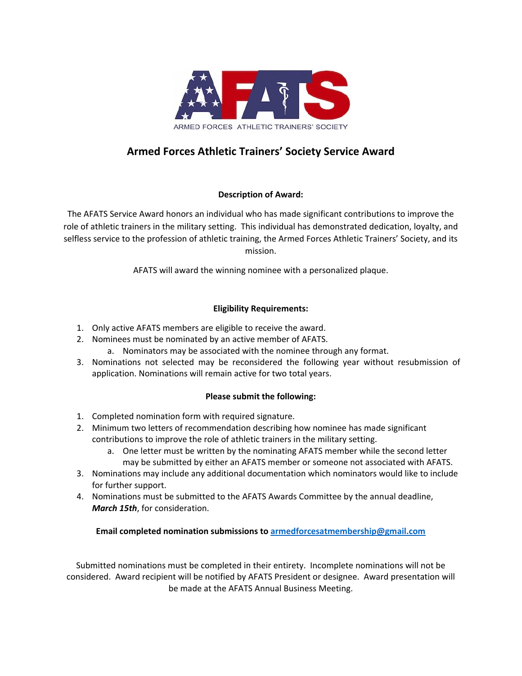

# **Armed Forces Athletic Trainers' Society Service Award**

## **Description of Award:**

The AFATS Service Award honors an individual who has made significant contributions to improve the role of athletic trainers in the military setting. This individual has demonstrated dedication, loyalty, and selfless service to the profession of athletic training, the Armed Forces Athletic Trainers' Society, and its mission.

AFATS will award the winning nominee with a personalized plaque.

#### **Eligibility Requirements:**

- 1. Only active AFATS members are eligible to receive the award.
- 2. Nominees must be nominated by an active member of AFATS.
	- a. Nominators may be associated with the nominee through any format.
- 3. Nominations not selected may be reconsidered the following year without resubmission of application. Nominations will remain active for two total years.

#### **Please submit the following:**

- 1. Completed nomination form with required signature.
- 2. Minimum two letters of recommendation describing how nominee has made significant contributions to improve the role of athletic trainers in the military setting.
	- a. One letter must be written by the nominating AFATS member while the second letter may be submitted by either an AFATS member or someone not associated with AFATS.
- 3. Nominations may include any additional documentation which nominators would like to include for further support.
- 4. Nominations must be submitted to the AFATS Awards Committee by the annual deadline, *March 15th*, for consideration.

## **Email completed nomination submissions t[o armedforcesatmembership@gmail.com](http://armedforcesatmembership@gmail.com)**

Submitted nominations must be completed in their entirety. Incomplete nominations will not be considered. Award recipient will be notified by AFATS President or designee. Award presentation will be made at the AFATS Annual Business Meeting.